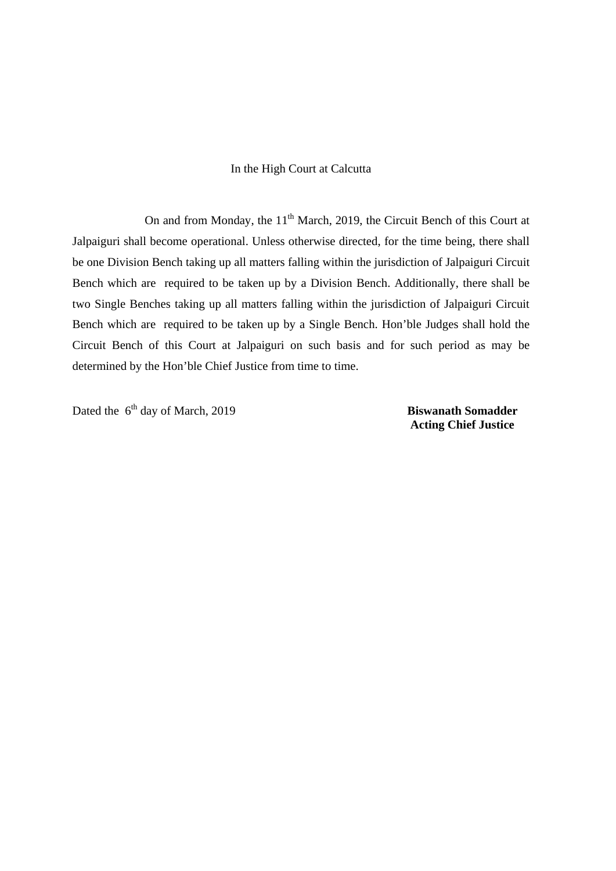## In the High Court at Calcutta

On and from Monday, the  $11<sup>th</sup>$  March, 2019, the Circuit Bench of this Court at Jalpaiguri shall become operational. Unless otherwise directed, for the time being, there shall be one Division Bench taking up all matters falling within the jurisdiction of Jalpaiguri Circuit Bench which are required to be taken up by a Division Bench. Additionally, there shall be two Single Benches taking up all matters falling within the jurisdiction of Jalpaiguri Circuit Bench which are required to be taken up by a Single Bench. Hon'ble Judges shall hold the Circuit Bench of this Court at Jalpaiguri on such basis and for such period as may be determined by the Hon'ble Chief Justice from time to time.

Dated the 6<sup>th</sup> day of March, 2019 **Biswanath Somadder** 

 **Acting Chief Justice**